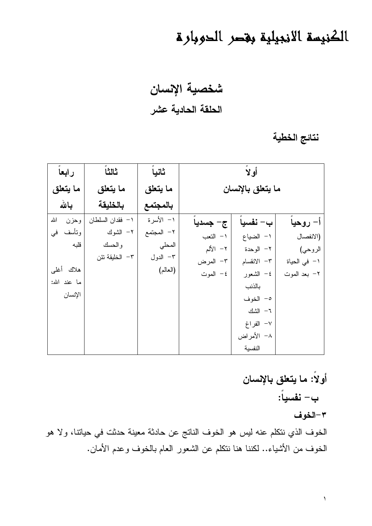## الكنيسة الانجيلية بقصر الحوبارة

شخصية الإنسان الحلقة الحادية عشر

نتائج الخطية

| رابعا        | ثالثا            | ثانياً     | أولأ              |             |              |
|--------------|------------------|------------|-------------------|-------------|--------------|
| ما يتعلق     | ما يتعلق         | ما يتعلق   | ما يتعلق بالإنسان |             |              |
| بالله        | بالخليقة         | بالمجتمع   |                   |             |              |
| الله<br>وحزن | ١– فقدان السلطان | ١– الأسرة  | ج- جسديا          | ب– نفسيا    | أ– روحيا     |
| ونأسف<br>فى  | ٢– الشوك         | ٢– المجتمع | ١– النعب          | ١– الضياع   | (الانفصال    |
| قلبه         | والحسك           | المحلي     | ۲– الألم          | ٢– الوحدة   | الروحي)      |
|              | ٣– الخليقة تئن   | ٣– الدول   | ٣– المرض          | ٣– الانقسام | ١– في الحياة |
| هلاك أغلى    |                  | (العالم)   | ٤– الموت          | ٤– الشعور   | ٢– بعد الموت |
| ما عند الله: |                  |            |                   | بالذنب      |              |
| الإنسان      |                  |            |                   | ٥– الخوف    |              |
|              |                  |            |                   | ٦– الشك     |              |
|              |                  |            |                   | ٧- الفراغ   |              |
|              |                  |            |                   | ٨– الأمراض  |              |
|              |                  |            |                   | النفسية     |              |

أولاً: ما يتعلق بالإنسان ب- نفسياً: ٣-الخوف الخوف الذي نتكلم عنه ليس هو الخوف الناتج عن حادثة معينة حدثت في حياتنا، ولا هو الخوف من الأشياء.. لكننا هنا نتكلم عن الشعور العام بالخوف وعدم الأمان.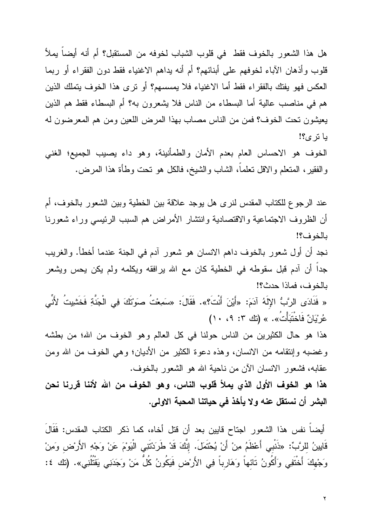هل هذا الشعور بالخوف فقط ً في قلوب الشباب لخوفه من المستقبل؟ أم أنه أيضاً يملأ قلوب وأذهان الأباء لخوفهم على أبنائهم؟ أم أنه يداهم الاغنياء فقط دون الفقراء أو ربما العكس فهو يفتك بالفقراء فقط أما الاغنياء فلا يمسسهم؟ أو نرى هذا الخوف يتملك الذين هم في مناصب عالية أما البسطاء من الناس فلا يشعرون به؟ أم البسطاء فقط هم الذين يعيشون تحت الخوف؟ فمن من الناس مصاب بهذا المرض اللعين ومن هم المعرضون له يا تر ي؟!

الخوف هو الاحساس العام بعدم الأمان والطمأنينة، وهو داء يصيب الجميع؛ الغني والفقير، المنعلم والاقل نعلماً، الشاب والشيخ، فالكل هو نحت وطأة هذا المرض.

عند الرجوع للكتاب المقدس لنرى هل يوجد علاقة بين الخطية وبين الشعور بالخوف، أم أن الظروف الاجتماعية والاقتصادية وانتشار الأمراض هم السبب الرئيسي وراء شعورنا بالخوف؟!

نجد أن أول شعور بالخوف داهم الانسان هو شعور آدم في الجنة عندما أخطأ. والغريب جداً أن آدم قبل سقوطه في الخطية كان مع الله يرافقه ويكلمه ولم يكن يحس ويشعر بالخوف، فماذا حدث؟!

« فَنَادَى الرَّبُّ الإِلَهُ آدَمَ: «أَيْنَ أَنْتَ؟». فَقَالَ: «سَمِعْتُ صوَتْتَكَ فِى الْجَنَّةِ فَخَشَيِتُ لأَنِّى عُرِيَانٌ فَاخْتَبَأَتُ». » (تَك ٣: ٩، ١٠)

هذا هو حال الكثيرين من الناس حولنا في كل العالم وهو الخوف من الله؛ من بطشه وغضبه وإنتقامه من الانسان، وهذه دعوة الكثير من الأديان؛ وهي الخوف من الله ومن عقابه، فشعور الانسان الآن من ناحية الله هو الشعور بالخوف.

هذا هو الخوف الأول الذي يملأ قلوب الناس، وهو الخوف من الله لأننا قررنا نحن البشر أن نستقل عنه ولا يأخذ في حياتنا المحبة الاولى.

أيضـاً نفس هذا الشعور اجتاح قايين بعد أن قتل أخاه، كما ذكر الكتاب المقدس: فَقَالَ قَايِينُ للرَّبِّ: «ذَنْبي أَعْظَمُ مِنْ أَنْ يُحْتَمَلَ. إنَّكَ قَدْ طَرَدْتَنِي الْيَوْمَ عَنْ وَجْهِ الأَرْض وَمِنْ وَجْهِكَ أَخْنَفِي وَأَكُونُ تَائهاً وَهَارِباً فِي الأَرْض فَيَكُونُ كُلٌّ مَنْ وَجَدَنِي يَقْتُلُنِي». (تك ٤: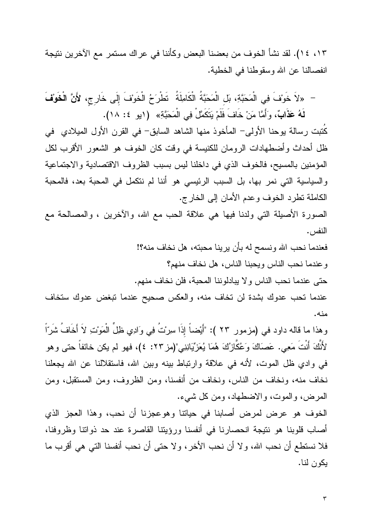١٣، ١٤). لقد نشأ الخوف من بعضنا البعض وكأننا في عراك مستمر مع الآخرين نتيجة انفصالنا عن الله وسقوطنا في الخطية.

– «لاَ خَوْفَ فِي الْمَحَبَّةِ، بَل الْمَحَبَّةُ الْكَامِلَةُ ۖ تَطْرَحُ الْخَوْفَ إِلَى خَارِج، لأَنَّ الْخَوْفَ لَهُ عَ**ذَابٌ**، وَأَمَّا مَنْ خَافَ فَلَمْ يَتَكَمَّلْ فِي الْمَحَبَّةِ» ( (يو ٤: ١٨).

كُتبت رسالة يوحنا الأولى– المأخوذ منها الشاهد السابق– في القرن الأول الميلادي في ظل أحداث وأضطهادات الرومان للكنيسة في وقت كان الخوف هو الشعور الأقرب لكل المؤمنين بالمسيح، فالخوف الذي في داخلنا ليس بسبب الظروف الاقتصادية والاجتماعية والسياسية التي نمر بها، بل السبب الرئيسي هو أننا لم نتكمل في المحبة بعد، فالمحبة الكاملة نظرد الخوف وعدم الأمان إلى الخارج.

الصورة الأصلِلة التي ولدنا فيها هي علاقة الحب مع الله، والأخرين ، والمصالحة مع النفس .

> فعندما نحب الله ونسمح له بأن يرينا محبته، هل نخاف منه؟! و عندما نحب الناس ويحبنا الناس، هل نخاف منهم؟ حتى عندما نحب الناس ولا يبادلوننا المحبة، فلن نخاف منهم.

عندما تحب عدوك بشدة لن تخاف منه، والعكس صحيح عندما تبغض عدوك ستخاف منه.

وهذا ما قاله داود في (مزمور ٢٣ ): "أَيْضاً إِذَا سِرْتُ فِي وَادِي ظَلِّ الْمَوْتِ لاَ أَخَافُ شَرّاً لأَنَّكَ أَنْتَ مَعِي. عَصَاكَ وَعُكَّازُكَ هُمَا يُعَزِّيَانِنِي"(مز ٢٣: ٤)، فهو لم يكن خائفاً حتى وهو في وادي ظل الموت، لأنه في علاقة وارتباط بينه وبين الله، فاستقلالنا عن الله يجعلنا نخاف منه، ونخاف من الناس، ونخاف من أنفسنا، ومن الظروف، ومن المستقبل، ومن المرض، والموت، والاضطهاد، ومن كل شيء.

الخوف هو عرض لمرض أصابنا في حياتنا وهوعجزنا أن نحب، وهذا العجز الذي أصاب قلوبنا هو نتيجة انحصارنا في أنفسنا ورؤيتنا القاصرة عند حد ذوانتا وظروفنا، فلا نستطع أن نحب الله، ولا أن نحب الأخر، ولا حتى أن نحب أنفسنا التي هي أقرب ما بكون لنا.